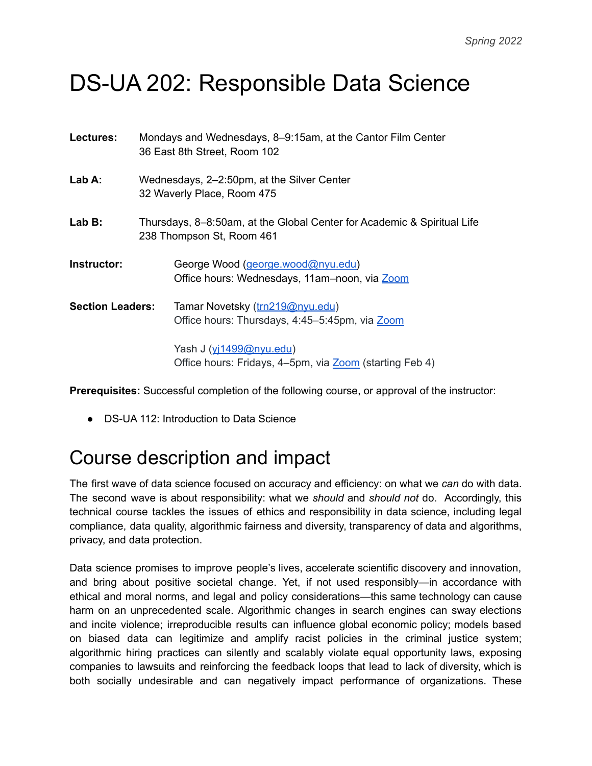# DS-UA 202: Responsible Data Science

| Lectures:               | Mondays and Wednesdays, 8-9:15am, at the Cantor Film Center<br>36 East 8th Street, Room 102          |                                                                                    |
|-------------------------|------------------------------------------------------------------------------------------------------|------------------------------------------------------------------------------------|
| Lab A:                  | Wednesdays, 2-2:50pm, at the Silver Center<br>32 Waverly Place, Room 475                             |                                                                                    |
| Lab B:                  | Thursdays, 8–8:50am, at the Global Center for Academic & Spiritual Life<br>238 Thompson St, Room 461 |                                                                                    |
| Instructor:             |                                                                                                      | George Wood (george.wood@nyu.edu)<br>Office hours: Wednesdays, 11am-noon, via Zoom |
| <b>Section Leaders:</b> |                                                                                                      | Tamar Novetsky (trn219@nyu.edu)<br>Office hours: Thursdays, 4:45-5:45pm, via Zoom  |
|                         |                                                                                                      | Yash J (yi1499@nyu.edu)<br>Office hours: Fridays, 4–5pm, via Zoom (starting Feb 4) |

**Prerequisites:** Successful completion of the following course, or approval of the instructor:

● DS-UA 112: Introduction to Data Science

### Course description and impact

The first wave of data science focused on accuracy and efficiency: on what we *can* do with data. The second wave is about responsibility: what we *should* and *should not* do. Accordingly, this technical course tackles the issues of ethics and responsibility in data science, including legal compliance, data quality, algorithmic fairness and diversity, transparency of data and algorithms, privacy, and data protection.

Data science promises to improve people's lives, accelerate scientific discovery and innovation, and bring about positive societal change. Yet, if not used responsibly—in accordance with ethical and moral norms, and legal and policy considerations—this same technology can cause harm on an unprecedented scale. Algorithmic changes in search engines can sway elections and incite violence; irreproducible results can influence global economic policy; models based on biased data can legitimize and amplify racist policies in the criminal justice system; algorithmic hiring practices can silently and scalably violate equal opportunity laws, exposing companies to lawsuits and reinforcing the feedback loops that lead to lack of diversity, which is both socially undesirable and can negatively impact performance of organizations. These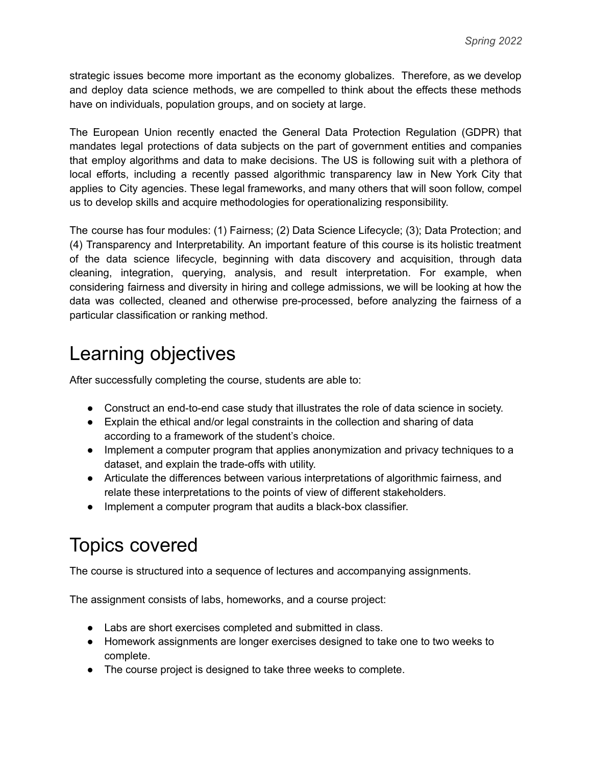strategic issues become more important as the economy globalizes. Therefore, as we develop and deploy data science methods, we are compelled to think about the effects these methods have on individuals, population groups, and on society at large.

The European Union recently enacted the General Data Protection Regulation (GDPR) that mandates legal protections of data subjects on the part of government entities and companies that employ algorithms and data to make decisions. The US is following suit with a plethora of local efforts, including a recently passed algorithmic transparency law in New York City that applies to City agencies. These legal frameworks, and many others that will soon follow, compel us to develop skills and acquire methodologies for operationalizing responsibility.

The course has four modules: (1) Fairness; (2) Data Science Lifecycle; (3); Data Protection; and (4) Transparency and Interpretability. An important feature of this course is its holistic treatment of the data science lifecycle, beginning with data discovery and acquisition, through data cleaning, integration, querying, analysis, and result interpretation. For example, when considering fairness and diversity in hiring and college admissions, we will be looking at how the data was collected, cleaned and otherwise pre-processed, before analyzing the fairness of a particular classification or ranking method.

# Learning objectives

After successfully completing the course, students are able to:

- Construct an end-to-end case study that illustrates the role of data science in society.
- Explain the ethical and/or legal constraints in the collection and sharing of data according to a framework of the student's choice.
- Implement a computer program that applies anonymization and privacy techniques to a dataset, and explain the trade-offs with utility.
- Articulate the differences between various interpretations of algorithmic fairness, and relate these interpretations to the points of view of different stakeholders.
- Implement a computer program that audits a black-box classifier.

# Topics covered

The course is structured into a sequence of lectures and accompanying assignments.

The assignment consists of labs, homeworks, and a course project:

- Labs are short exercises completed and submitted in class.
- Homework assignments are longer exercises designed to take one to two weeks to complete.
- The course project is designed to take three weeks to complete.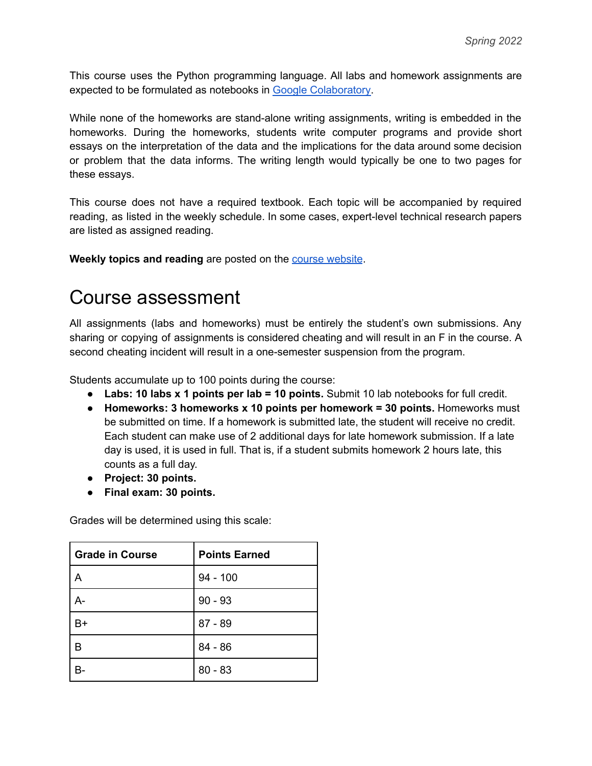This course uses the Python programming language. All labs and homework assignments are expected to be formulated as notebooks in Google [Colaboratory.](https://colab.research.google.com/notebooks/intro.ipynb)

While none of the homeworks are stand-alone writing assignments, writing is embedded in the homeworks. During the homeworks, students write computer programs and provide short essays on the interpretation of the data and the implications for the data around some decision or problem that the data informs. The writing length would typically be one to two pages for these essays.

This course does not have a required textbook. Each topic will be accompanied by required reading, as listed in the weekly schedule. In some cases, expert-level technical research papers are listed as assigned reading.

**Weekly topics and reading** are posted on the course [website](https://dataresponsibly.github.io/rds/).

#### Course assessment

All assignments (labs and homeworks) must be entirely the student's own submissions. Any sharing or copying of assignments is considered cheating and will result in an F in the course. A second cheating incident will result in a one-semester suspension from the program.

Students accumulate up to 100 points during the course:

- **Labs: 10 labs x 1 points per lab = 10 points.** Submit 10 lab notebooks for full credit.
- **Homeworks: 3 homeworks x 10 points per homework = 30 points.** Homeworks must be submitted on time. If a homework is submitted late, the student will receive no credit. Each student can make use of 2 additional days for late homework submission. If a late day is used, it is used in full. That is, if a student submits homework 2 hours late, this counts as a full day.
- **Project: 30 points.**
- **● Final exam: 30 points.**

Grades will be determined using this scale:

| <b>Grade in Course</b> | <b>Points Earned</b> |
|------------------------|----------------------|
| Α                      | $94 - 100$           |
| А-                     | $90 - 93$            |
| B+                     | $87 - 89$            |
| R                      | $84 - 86$            |
|                        | $80 - 83$            |